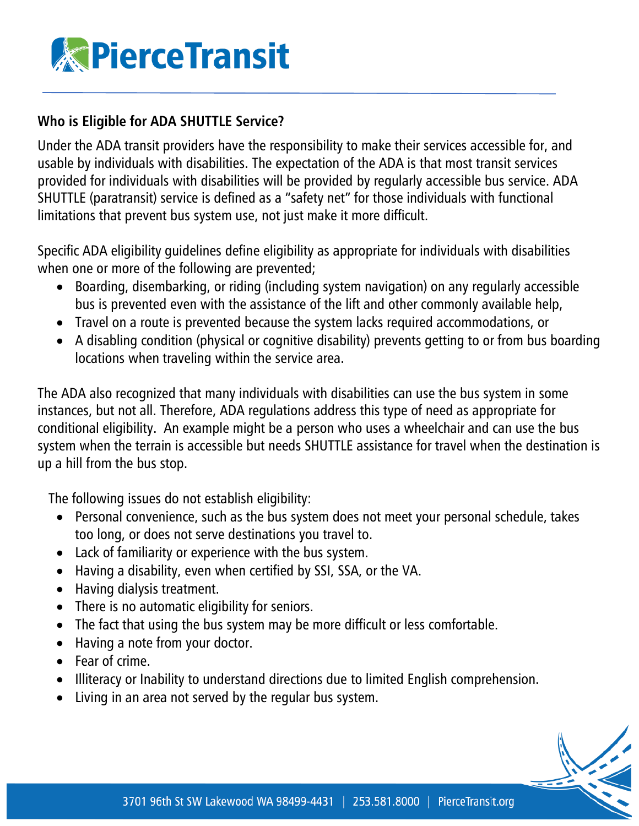

### **Who is Eligible for ADA SHUTTLE Service?**

Under the ADA transit providers have the responsibility to make their services accessible for, and usable by individuals with disabilities. The expectation of the ADA is that most transit services provided for individuals with disabilities will be provided by regularly accessible bus service. ADA SHUTTLE (paratransit) service is defined as a "safety net" for those individuals with functional limitations that prevent bus system use, not just make it more difficult.

Specific ADA eligibility guidelines define eligibility as appropriate for individuals with disabilities when one or more of the following are prevented;

- Boarding, disembarking, or riding (including system navigation) on any regularly accessible bus is prevented even with the assistance of the lift and other commonly available help,
- Travel on a route is prevented because the system lacks required accommodations, or
- A disabling condition (physical or cognitive disability) prevents getting to or from bus boarding locations when traveling within the service area.

The ADA also recognized that many individuals with disabilities can use the bus system in some instances, but not all. Therefore, ADA regulations address this type of need as appropriate for conditional eligibility. An example might be a person who uses a wheelchair and can use the bus system when the terrain is accessible but needs SHUTTLE assistance for travel when the destination is up a hill from the bus stop.

The following issues do not establish eligibility:

- Personal convenience, such as the bus system does not meet your personal schedule, takes too long, or does not serve destinations you travel to.
- Lack of familiarity or experience with the bus system.
- Having a disability, even when certified by SSI, SSA, or the VA.
- Having dialysis treatment.
- There is no automatic eligibility for seniors.
- The fact that using the bus system may be more difficult or less comfortable.
- Having a note from your doctor.
- Fear of crime.
- Illiteracy or Inability to understand directions due to limited English comprehension.
- Living in an area not served by the regular bus system.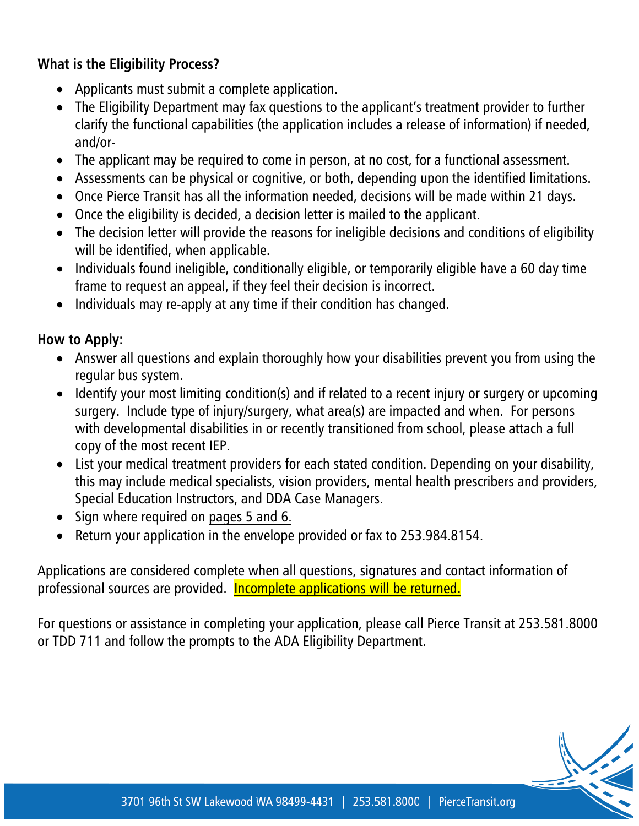### **What is the Eligibility Process?**

- Applicants must submit a complete application.
- The Eligibility Department may fax questions to the applicant's treatment provider to further clarify the functional capabilities (the application includes a release of information) if needed, and/or-
- The applicant may be required to come in person, at no cost, for a functional assessment.
- Assessments can be physical or cognitive, or both, depending upon the identified limitations.
- Once Pierce Transit has all the information needed, decisions will be made within 21 days.
- Once the eligibility is decided, a decision letter is mailed to the applicant.
- The decision letter will provide the reasons for ineligible decisions and conditions of eligibility will be identified, when applicable.
- Individuals found ineligible, conditionally eligible, or temporarily eligible have a 60 day time frame to request an appeal, if they feel their decision is incorrect.
- Individuals may re-apply at any time if their condition has changed.

### **How to Apply:**

- Answer all questions and explain thoroughly how your disabilities prevent you from using the regular bus system.
- Identify your most limiting condition(s) and if related to a recent injury or surgery or upcoming surgery. Include type of injury/surgery, what area(s) are impacted and when. For persons with developmental disabilities in or recently transitioned from school, please attach a full copy of the most recent IEP.
- List your medical treatment providers for each stated condition. Depending on your disability, this may include medical specialists, vision providers, mental health prescribers and providers, Special Education Instructors, and DDA Case Managers.
- Sign where required on pages 5 and 6.
- Return your application in the envelope provided or fax to 253.984.8154.

Applications are considered complete when all questions, signatures and contact information of professional sources are provided. **Incomplete applications will be returned.** 

For questions or assistance in completing your application, please call Pierce Transit at 253.581.8000 or TDD 711 and follow the prompts to the ADA Eligibility Department.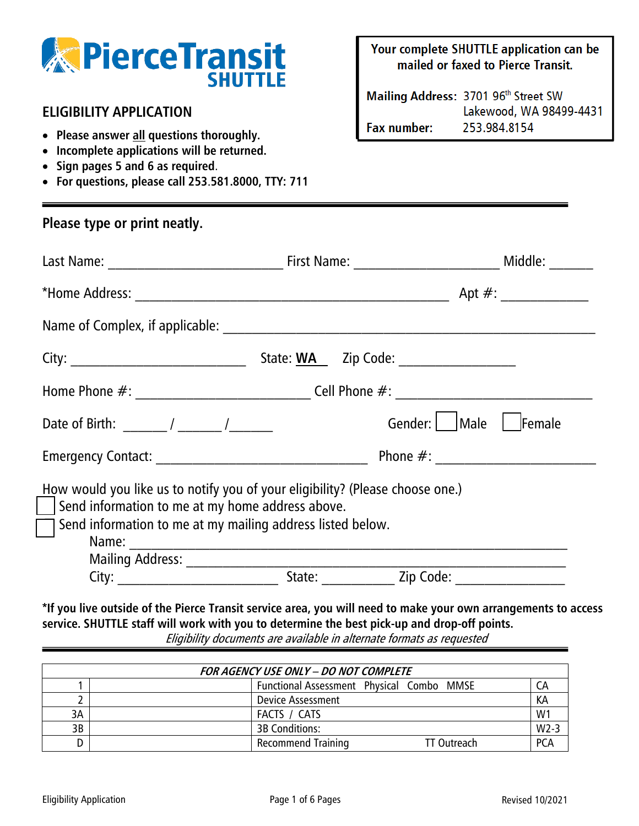

### **ELIGIBILITY APPLICATION**

- **Please answer all questions thoroughly.**
- **Incomplete applications will be returned.**
- **Sign pages 5 and 6 as required**.
- **For questions, please call 253**.**581.8000, TTY: 711**

Your complete SHUTTLE application can be mailed or faxed to Pierce Transit.

Mailing Address: 3701 96th Street SW Lakewood, WA 98499-4431 253.984.8154 **Fax number:** 

| Please type or print neatly.                                                                                                                                                                                                  |        |           |               |
|-------------------------------------------------------------------------------------------------------------------------------------------------------------------------------------------------------------------------------|--------|-----------|---------------|
|                                                                                                                                                                                                                               |        |           | Middle: _____ |
|                                                                                                                                                                                                                               |        |           |               |
|                                                                                                                                                                                                                               |        |           |               |
|                                                                                                                                                                                                                               |        |           |               |
| Home Phone #: _______________________________Cell Phone #: _____________________                                                                                                                                              |        |           |               |
|                                                                                                                                                                                                                               |        |           |               |
|                                                                                                                                                                                                                               |        |           |               |
| How would you like us to notify you of your eligibility? (Please choose one.)<br>Send information to me at my home address above.<br>$\frac{1}{\sqrt{2}}$ Send information to me at my mailing address listed below.<br>Name: |        |           |               |
| City: City:                                                                                                                                                                                                                   | State: | Zip Code: |               |

**\*If you live outside of the Pierce Transit service area, you will need to make your own arrangements to access service. SHUTTLE staff will work with you to determine the best pick-up and drop-off points.** Eligibility documents are available in alternate formats as requested

| FOR AGENCY USE ONLY - DO NOT COMPLETE |  |                                           |                    |            |
|---------------------------------------|--|-------------------------------------------|--------------------|------------|
|                                       |  | Functional Assessment Physical Combo MMSE |                    |            |
|                                       |  | Device Assessment                         |                    | КA         |
| ЗA                                    |  | FACTS / CATS                              |                    | W1         |
| 3B                                    |  | <b>3B Conditions:</b>                     |                    | $W2 - 3$   |
|                                       |  | <b>Recommend Training</b>                 | <b>TT Outreach</b> | <b>PCA</b> |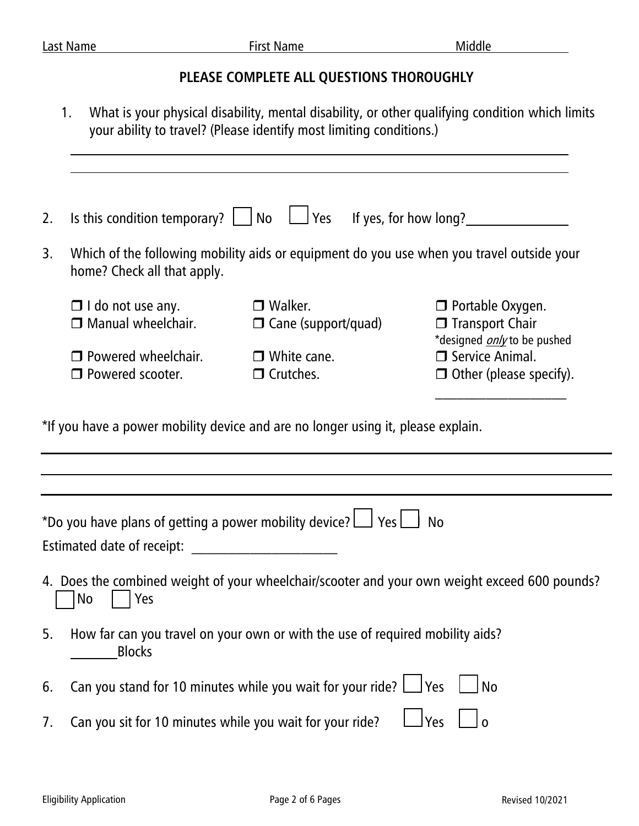# **PLEASE COMPLETE ALL QUESTIONS THOROUGHLY**

1. What is your physical disability, mental disability, or other qualifying condition which limits your ability to travel? (Please identify most limiting conditions.)

| 2. |                                                                                                                          | Is this condition temporary? $\Box$ No $\Box$ Yes If yes, for how long?                                              |                                                                                                |  |
|----|--------------------------------------------------------------------------------------------------------------------------|----------------------------------------------------------------------------------------------------------------------|------------------------------------------------------------------------------------------------|--|
| 3. | Which of the following mobility aids or equipment do you use when you travel outside your<br>home? Check all that apply. |                                                                                                                      |                                                                                                |  |
|    | $\Box$ I do not use any.<br>$\Box$ Manual wheelchair.                                                                    | $\Box$ Walker.<br>$\Box$ Cane (support/quad)                                                                         | $\Box$ Portable Oxygen.<br>$\Box$ Transport Chair                                              |  |
|    | $\Box$ Powered wheelchair.<br>$\Box$ Powered scooter.                                                                    | $\Box$ White cane.<br>$\Box$ Crutches.                                                                               | *designed <i>only</i> to be pushed<br>$\Box$ Service Animal.<br>$\Box$ Other (please specify). |  |
|    | *If you have a power mobility device and are no longer using it, please explain.                                         |                                                                                                                      |                                                                                                |  |
|    |                                                                                                                          |                                                                                                                      |                                                                                                |  |
|    |                                                                                                                          |                                                                                                                      |                                                                                                |  |
|    | *Do you have plans of getting a power mobility device? $\Box$ Yes $\Box$                                                 |                                                                                                                      | <b>No</b>                                                                                      |  |
|    | Estimated date of receipt:                                                                                               | <u> 1980 - Jan Samuel Barbara, prima a prima populație de la prima a prima prima prima prima prima prima prima p</u> |                                                                                                |  |
|    | No<br>Yes                                                                                                                |                                                                                                                      | 4. Does the combined weight of your wheelchair/scooter and your own weight exceed 600 pounds?  |  |
| 5. | <b>Blocks</b>                                                                                                            | How far can you travel on your own or with the use of required mobility aids?                                        |                                                                                                |  |
| 6. | Can you stand for 10 minutes while you wait for your ride? $\Box$ Yes<br><b>No</b>                                       |                                                                                                                      |                                                                                                |  |
| 7. | <u>l</u> Yes<br>Can you sit for 10 minutes while you wait for your ride?<br>l o                                          |                                                                                                                      |                                                                                                |  |
|    |                                                                                                                          |                                                                                                                      |                                                                                                |  |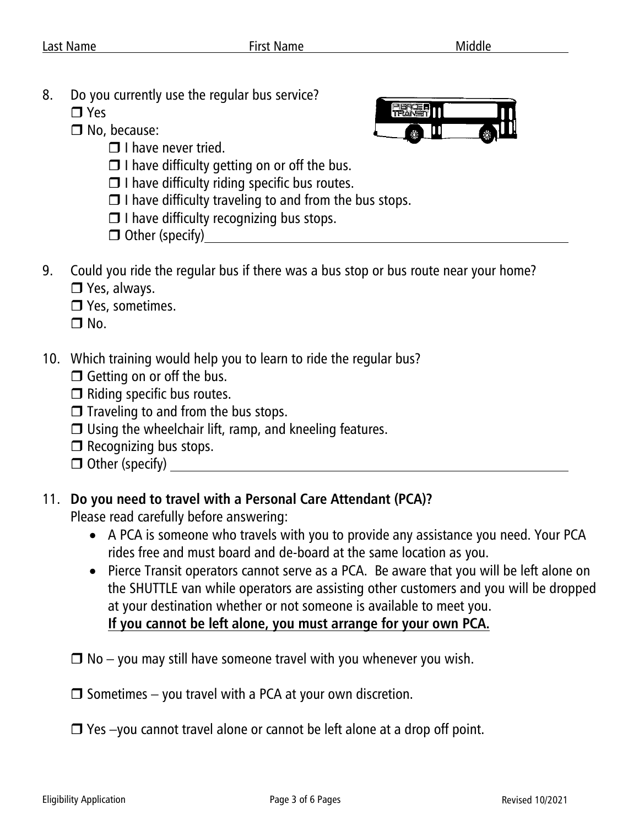- 8. Do you currently use the regular bus service?
	- **T** Yes
	- □ No, because:
		- $\Box$  I have never tried.



- $\Box$  I have difficulty getting on or off the bus.
- $\Box$  I have difficulty riding specific bus routes.
- $\Box$  I have difficulty traveling to and from the bus stops.
- $\Box$  I have difficulty recognizing bus stops.
- $\Box$  Other (specify)
- 9. Could you ride the regular bus if there was a bus stop or bus route near your home? **D** Yes, always.
	-
	- **D** Yes, sometimes.

 $\Box$  No.

- 10. Which training would help you to learn to ride the regular bus?
	- $\Box$  Getting on or off the bus.
	- $\Box$  Riding specific bus routes.
	- $\Box$  Traveling to and from the bus stops.
	- $\Box$  Using the wheelchair lift, ramp, and kneeling features.
	- $\Box$  Recognizing bus stops.
	- $\Box$  Other (specify)

# 11. **Do you need to travel with a Personal Care Attendant (PCA)?**

Please read carefully before answering:

- A PCA is someone who travels with you to provide any assistance you need. Your PCA rides free and must board and de-board at the same location as you.
- Pierce Transit operators cannot serve as a PCA. Be aware that you will be left alone on the SHUTTLE van while operators are assisting other customers and you will be dropped at your destination whether or not someone is available to meet you. **If you cannot be left alone, you must arrange for your own PCA.**
- $\Box$  No you may still have someone travel with you whenever you wish.
- $\Box$  Sometimes you travel with a PCA at your own discretion.
- □ Yes –you cannot travel alone or cannot be left alone at a drop off point.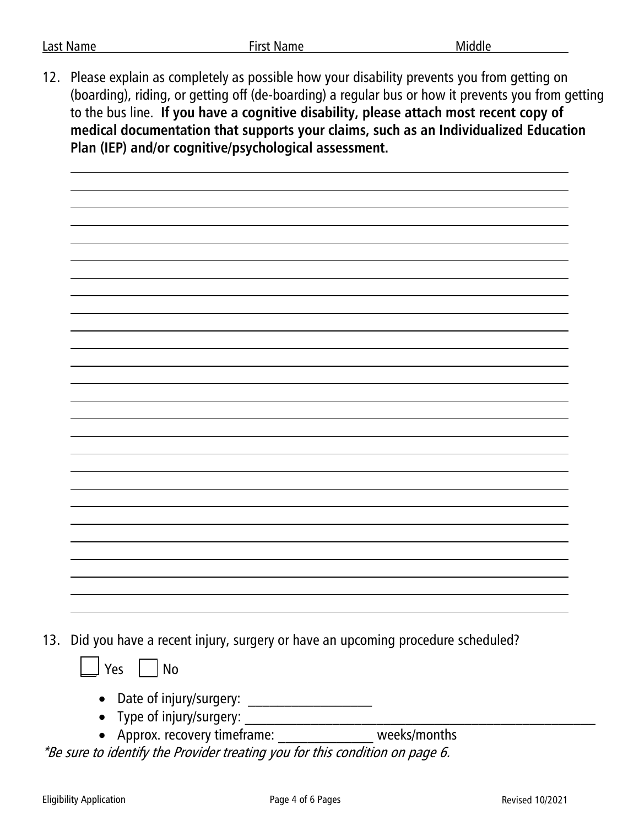12. Please explain as completely as possible how your disability prevents you from getting on (boarding), riding, or getting off (de-boarding) a regular bus or how it prevents you from getting to the bus line. **If you have a cognitive disability, please attach most recent copy of medical documentation that supports your claims, such as an Individualized Education Plan (IEP) and/or cognitive/psychological assessment.**

13. Did you have a recent injury, surgery or have an upcoming procedure scheduled?



- Date of injury/surgery: \_\_\_\_\_\_\_\_\_\_\_\_\_\_\_\_\_
- Type of injury/surgery:  $\blacksquare$
- Approx. recovery timeframe: weeks/months

\*Be sure to identify the Provider treating you for this condition on page 6.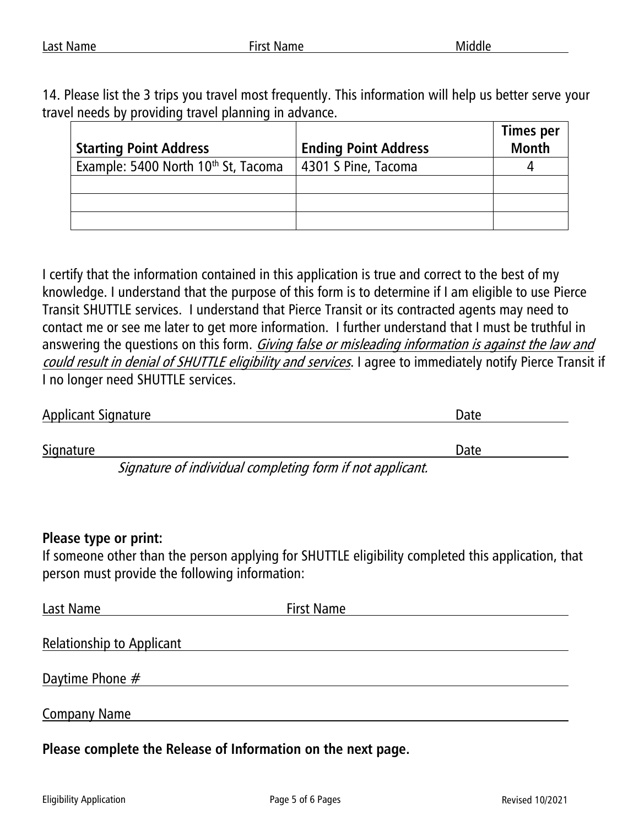14. Please list the 3 trips you travel most frequently. This information will help us better serve your travel needs by providing travel planning in advance.

| <b>Starting Point Address</b>       | <b>Ending Point Address</b> | <b>Times per</b><br><b>Month</b> |
|-------------------------------------|-----------------------------|----------------------------------|
| Example: 5400 North 10th St, Tacoma | 4301 S Pine, Tacoma         |                                  |
|                                     |                             |                                  |
|                                     |                             |                                  |
|                                     |                             |                                  |

I certify that the information contained in this application is true and correct to the best of my knowledge. I understand that the purpose of this form is to determine if I am eligible to use Pierce Transit SHUTTLE services. I understand that Pierce Transit or its contracted agents may need to contact me or see me later to get more information. I further understand that I must be truthful in answering the questions on this form. Giving false or misleading information is against the law and could result in denial of SHUTTLE eligibility and services. I agree to immediately notify Pierce Transit if I no longer need SHUTTLE services.

| <b>Applicant Signature</b>                              | Date |
|---------------------------------------------------------|------|
|                                                         |      |
| Signature                                               | Date |
| Consture of individual completing form if not applicant |      |

Signature of individual completing form if not applicant.

### **Please type or print:**

If someone other than the person applying for SHUTTLE eligibility completed this application, that person must provide the following information:

| Last Name                        | <b>First Name</b> |
|----------------------------------|-------------------|
|                                  |                   |
| <b>Relationship to Applicant</b> |                   |
| Daytime Phone $#$                |                   |
| <b>Company Name</b>              |                   |
|                                  |                   |

**Please complete the Release of Information on the next page.**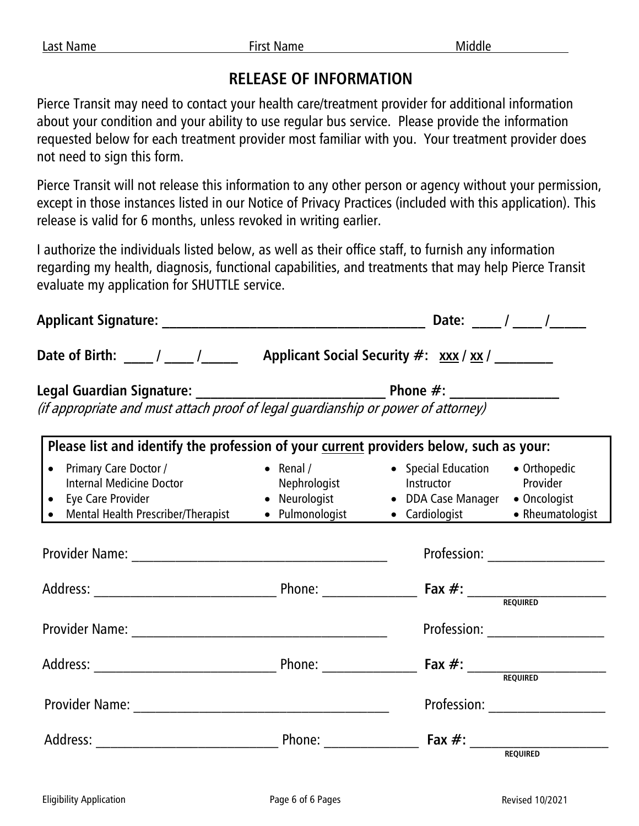# **RELEASE OF INFORMATION**

Pierce Transit may need to contact your health care/treatment provider for additional information about your condition and your ability to use regular bus service. Please provide the information requested below for each treatment provider most familiar with you. Your treatment provider does not need to sign this form.

Pierce Transit will not release this information to any other person or agency without your permission, except in those instances listed in our Notice of Privacy Practices (included with this application). This release is valid for 6 months, unless revoked in writing earlier.

I authorize the individuals listed below, as well as their office staff, to furnish any information regarding my health, diagnosis, functional capabilities, and treatments that may help Pierce Transit evaluate my application for SHUTTLE service.

| Date of Birth: ______/ ______/___________ Applicant Social Security #: xxx / xx / _________ |  |                                                                                                                                                                                                                                                                                                                                            |  |
|---------------------------------------------------------------------------------------------|--|--------------------------------------------------------------------------------------------------------------------------------------------------------------------------------------------------------------------------------------------------------------------------------------------------------------------------------------------|--|
|                                                                                             |  |                                                                                                                                                                                                                                                                                                                                            |  |
| Please list and identify the profession of your current providers below, such as your:      |  |                                                                                                                                                                                                                                                                                                                                            |  |
| • Primary Care Doctor /<br>• Eye Care Provider                                              |  | • Renal /                 • Special Education       • Orthopedic<br>Internal Medicine Doctor <b>Mephrologist</b> Mephrologist <b>Network</b> Instructor <b>Network</b> Provider<br>• Neurologist               • DDA Case Manager     • Oncologist<br>• Mental Health Prescriber/Therapist • Pulmonologist • Cardiologist • Rheumatologist |  |
|                                                                                             |  | Profession: 2008 2012 2022 2023                                                                                                                                                                                                                                                                                                            |  |
|                                                                                             |  |                                                                                                                                                                                                                                                                                                                                            |  |
|                                                                                             |  | Profession: 2008 2012 2022 2023                                                                                                                                                                                                                                                                                                            |  |
|                                                                                             |  |                                                                                                                                                                                                                                                                                                                                            |  |
|                                                                                             |  | Profession: ___________________                                                                                                                                                                                                                                                                                                            |  |
|                                                                                             |  |                                                                                                                                                                                                                                                                                                                                            |  |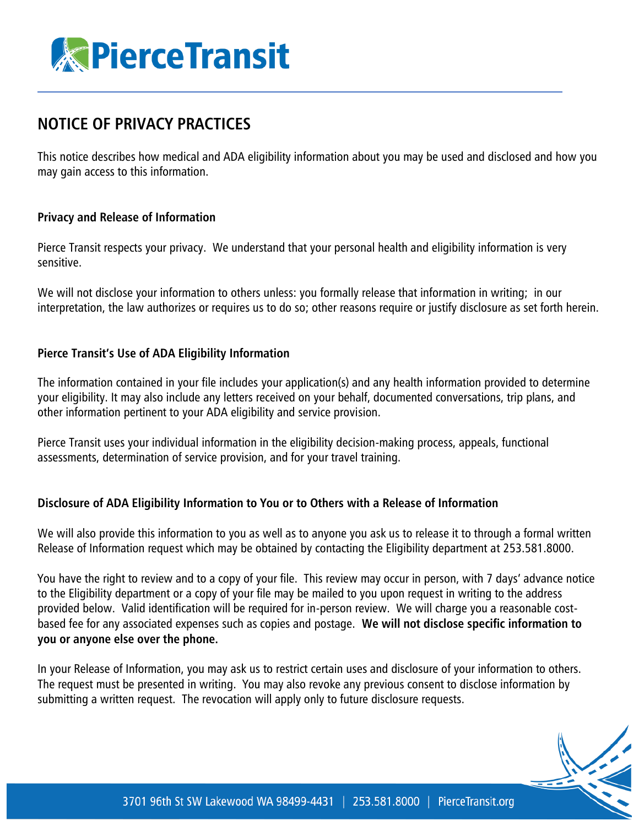

# **NOTICE OF PRIVACY PRACTICES**

This notice describes how medical and ADA eligibility information about you may be used and disclosed and how you may gain access to this information.

#### **Privacy and Release of Information**

Pierce Transit respects your privacy. We understand that your personal health and eligibility information is very sensitive.

We will not disclose your information to others unless: you formally release that information in writing; in our interpretation, the law authorizes or requires us to do so; other reasons require or justify disclosure as set forth herein.

#### **Pierce Transit's Use of ADA Eligibility Information**

The information contained in your file includes your application(s) and any health information provided to determine your eligibility. It may also include any letters received on your behalf, documented conversations, trip plans, and other information pertinent to your ADA eligibility and service provision.

Pierce Transit uses your individual information in the eligibility decision-making process, appeals, functional assessments, determination of service provision, and for your travel training.

#### **Disclosure of ADA Eligibility Information to You or to Others with a Release of Information**

We will also provide this information to you as well as to anyone you ask us to release it to through a formal written Release of Information request which may be obtained by contacting the Eligibility department at 253.581.8000.

You have the right to review and to a copy of your file. This review may occur in person, with 7 days' advance notice to the Eligibility department or a copy of your file may be mailed to you upon request in writing to the address provided below. Valid identification will be required for in-person review. We will charge you a reasonable costbased fee for any associated expenses such as copies and postage. **We will not disclose specific information to you or anyone else over the phone.**

In your Release of Information, you may ask us to restrict certain uses and disclosure of your information to others. The request must be presented in writing. You may also revoke any previous consent to disclose information by submitting a written request. The revocation will apply only to future disclosure requests.